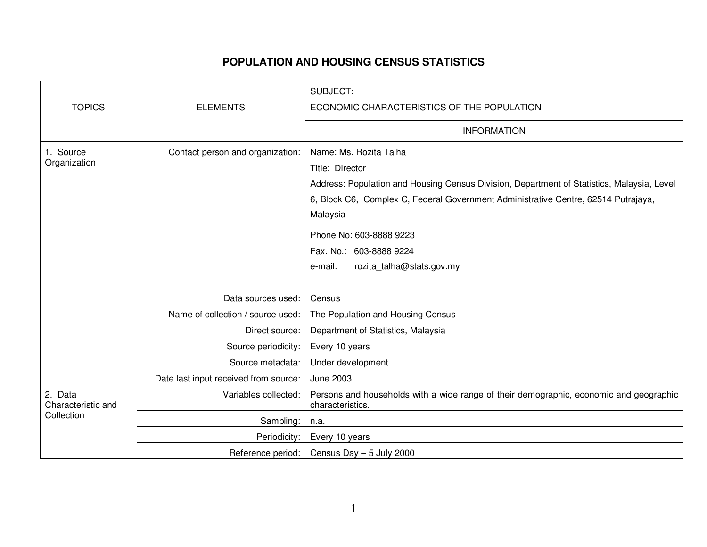## **POPULATION AND HOUSING CENSUS STATISTICS**

| <b>TOPICS</b>                               |                                       | <b>SUBJECT:</b>                                                                                                                                                                                                                           |
|---------------------------------------------|---------------------------------------|-------------------------------------------------------------------------------------------------------------------------------------------------------------------------------------------------------------------------------------------|
|                                             | <b>ELEMENTS</b>                       | ECONOMIC CHARACTERISTICS OF THE POPULATION                                                                                                                                                                                                |
|                                             |                                       | <b>INFORMATION</b>                                                                                                                                                                                                                        |
| 1. Source<br>Organization                   | Contact person and organization:      | Name: Ms. Rozita Talha<br>Title: Director<br>Address: Population and Housing Census Division, Department of Statistics, Malaysia, Level<br>6, Block C6, Complex C, Federal Government Administrative Centre, 62514 Putrajaya,<br>Malaysia |
|                                             |                                       | Phone No: 603-8888 9223                                                                                                                                                                                                                   |
|                                             |                                       | Fax. No.: 603-8888 9224                                                                                                                                                                                                                   |
|                                             |                                       | rozita_talha@stats.gov.my<br>e-mail:                                                                                                                                                                                                      |
|                                             |                                       |                                                                                                                                                                                                                                           |
|                                             | Data sources used:                    | Census                                                                                                                                                                                                                                    |
|                                             | Name of collection / source used:     | The Population and Housing Census                                                                                                                                                                                                         |
|                                             | Direct source:                        | Department of Statistics, Malaysia                                                                                                                                                                                                        |
|                                             | Source periodicity:                   | Every 10 years                                                                                                                                                                                                                            |
|                                             | Source metadata:                      | Under development                                                                                                                                                                                                                         |
|                                             | Date last input received from source: | <b>June 2003</b>                                                                                                                                                                                                                          |
| 2. Data<br>Characteristic and<br>Collection | Variables collected:                  | Persons and households with a wide range of their demographic, economic and geographic<br>characteristics.                                                                                                                                |
|                                             | Sampling:                             | n.a.                                                                                                                                                                                                                                      |
|                                             | Periodicity:                          | Every 10 years                                                                                                                                                                                                                            |
|                                             | Reference period:                     | Census Day - 5 July 2000                                                                                                                                                                                                                  |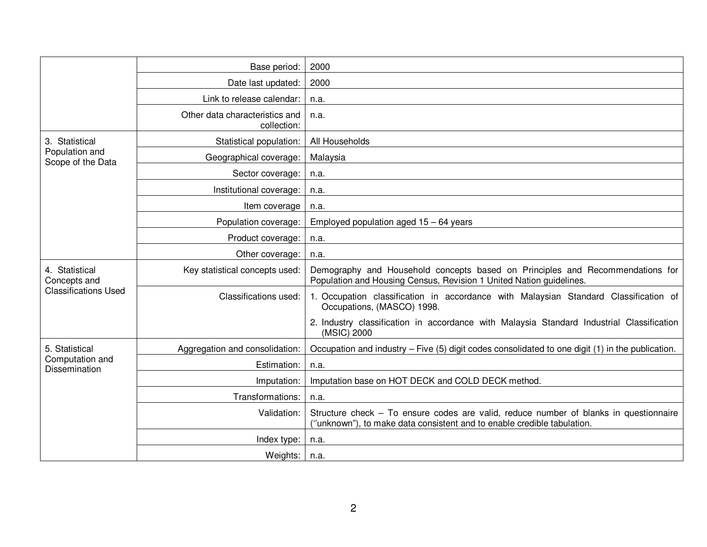|                                                               | Base period:                                  | 2000                                                                                                                                                             |
|---------------------------------------------------------------|-----------------------------------------------|------------------------------------------------------------------------------------------------------------------------------------------------------------------|
|                                                               | Date last updated:                            | 2000                                                                                                                                                             |
|                                                               | Link to release calendar:                     | n.a.                                                                                                                                                             |
|                                                               | Other data characteristics and<br>collection: | n.a.                                                                                                                                                             |
| 3. Statistical<br>Population and<br>Scope of the Data         | Statistical population:                       | All Households                                                                                                                                                   |
|                                                               | Geographical coverage:                        | Malaysia                                                                                                                                                         |
|                                                               | Sector coverage:                              | n.a.                                                                                                                                                             |
|                                                               | Institutional coverage:                       | n.a.                                                                                                                                                             |
|                                                               | Item coverage                                 | n.a.                                                                                                                                                             |
|                                                               | Population coverage:                          | Employed population aged $15 - 64$ years                                                                                                                         |
|                                                               | Product coverage:                             | n.a.                                                                                                                                                             |
|                                                               | Other coverage:                               | n.a.                                                                                                                                                             |
| 4. Statistical<br>Concepts and<br><b>Classifications Used</b> | Key statistical concepts used:                | Demography and Household concepts based on Principles and Recommendations for<br>Population and Housing Census, Revision 1 United Nation guidelines.             |
|                                                               | Classifications used:                         | 1. Occupation classification in accordance with Malaysian Standard Classification of<br>Occupations, (MASCO) 1998.                                               |
|                                                               |                                               | 2. Industry classification in accordance with Malaysia Standard Industrial Classification<br>(MSIC) 2000                                                         |
| 5. Statistical<br>Computation and<br><b>Dissemination</b>     | Aggregation and consolidation:                | Occupation and industry – Five (5) digit codes consolidated to one digit (1) in the publication.                                                                 |
|                                                               | Estimation:                                   | n.a.                                                                                                                                                             |
|                                                               | Imputation:                                   | Imputation base on HOT DECK and COLD DECK method.                                                                                                                |
|                                                               | Transformations:                              | n.a.                                                                                                                                                             |
|                                                               | Validation:                                   | Structure check - To ensure codes are valid, reduce number of blanks in questionnaire<br>("unknown"), to make data consistent and to enable credible tabulation. |
|                                                               | Index type:                                   | n.a.                                                                                                                                                             |
|                                                               | Weights:                                      | n.a.                                                                                                                                                             |